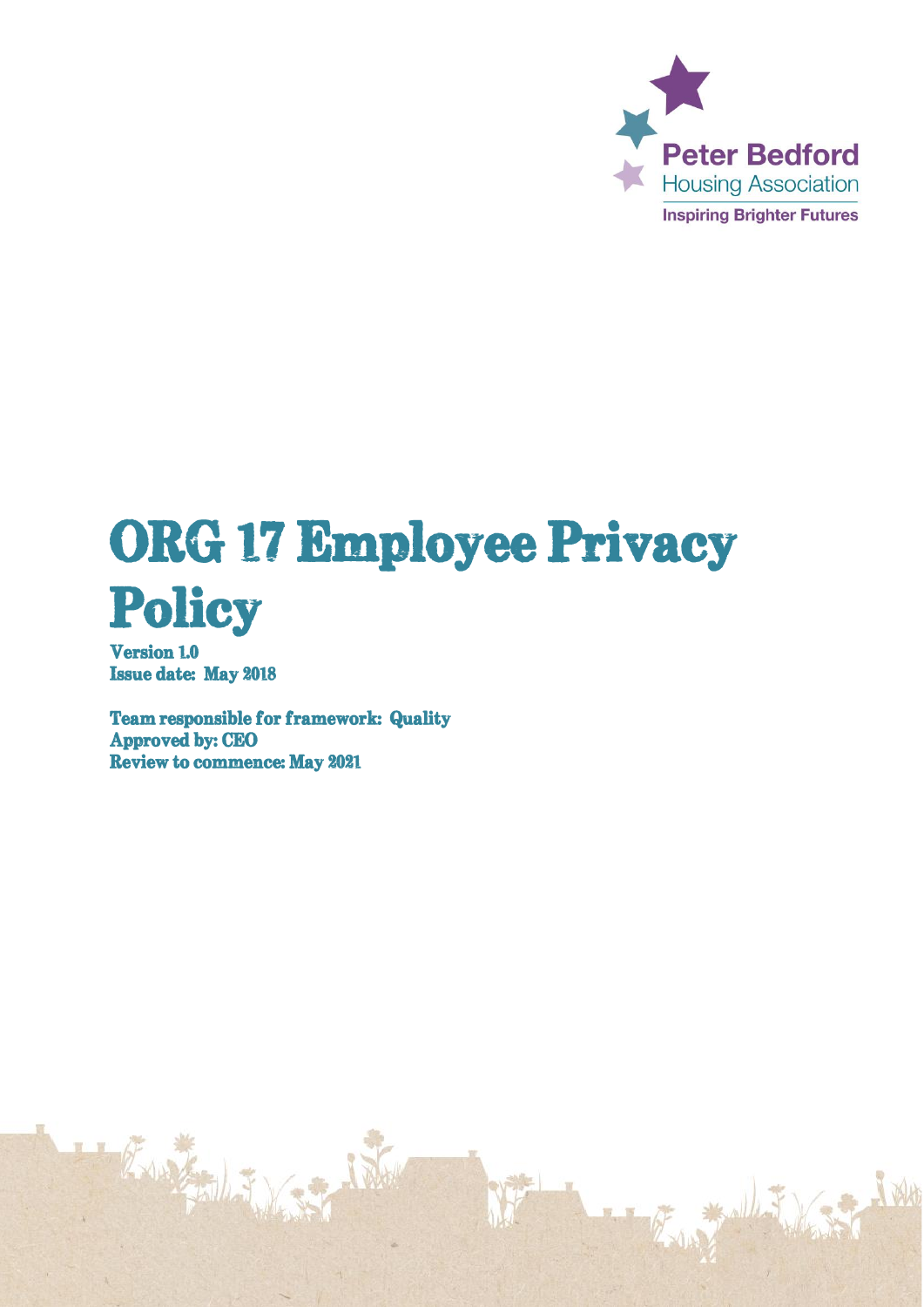

# ORG 17 Employee Privacy Policy

**Version 1.0 Issue date: May 2018** 

**Team responsible for framework: Quality Approved by: CEO Review to commence: May 2021**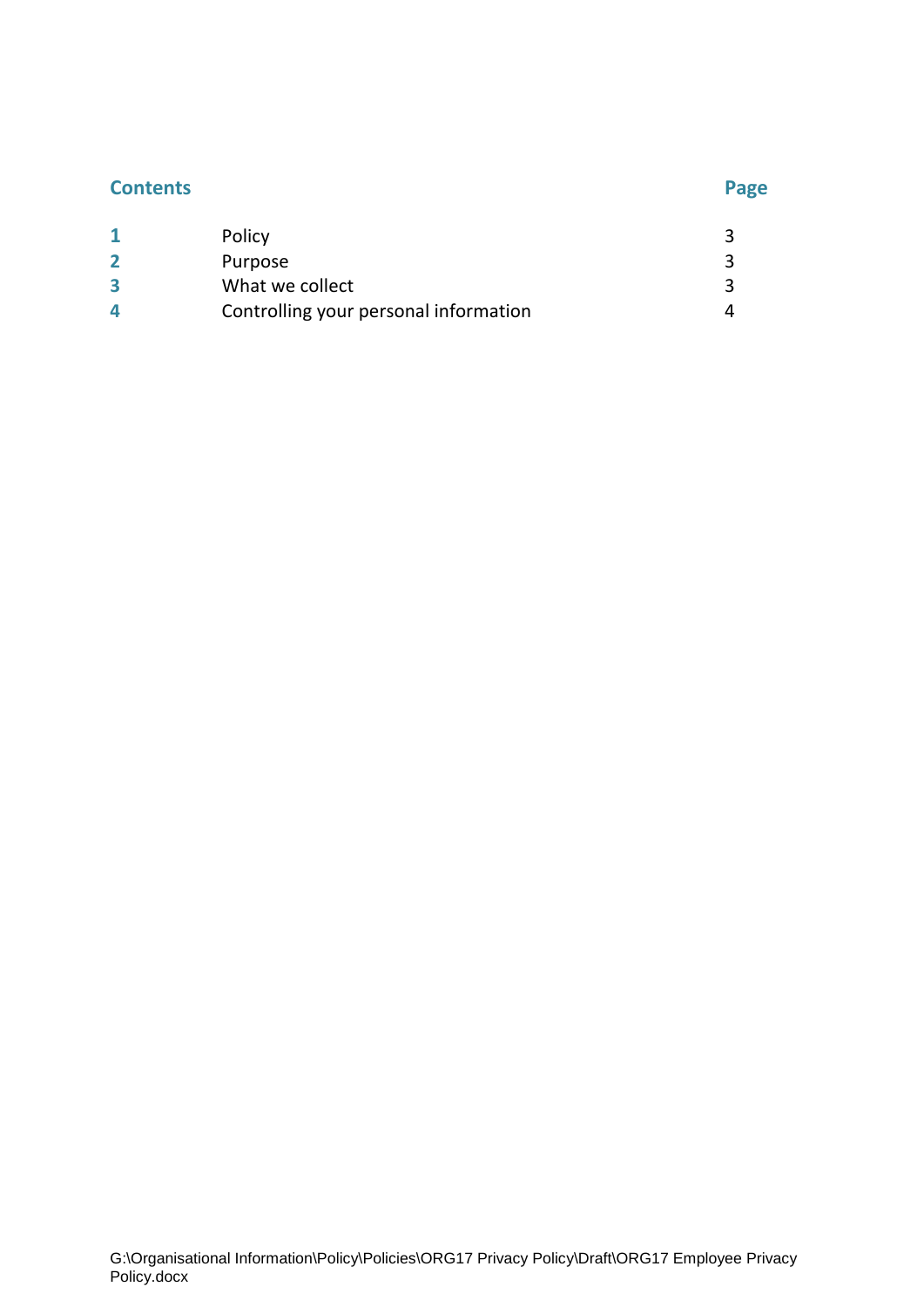# **Contents Page**

|   | Policy                                |  |
|---|---------------------------------------|--|
|   | Purpose                               |  |
| 3 | What we collect                       |  |
| 4 | Controlling your personal information |  |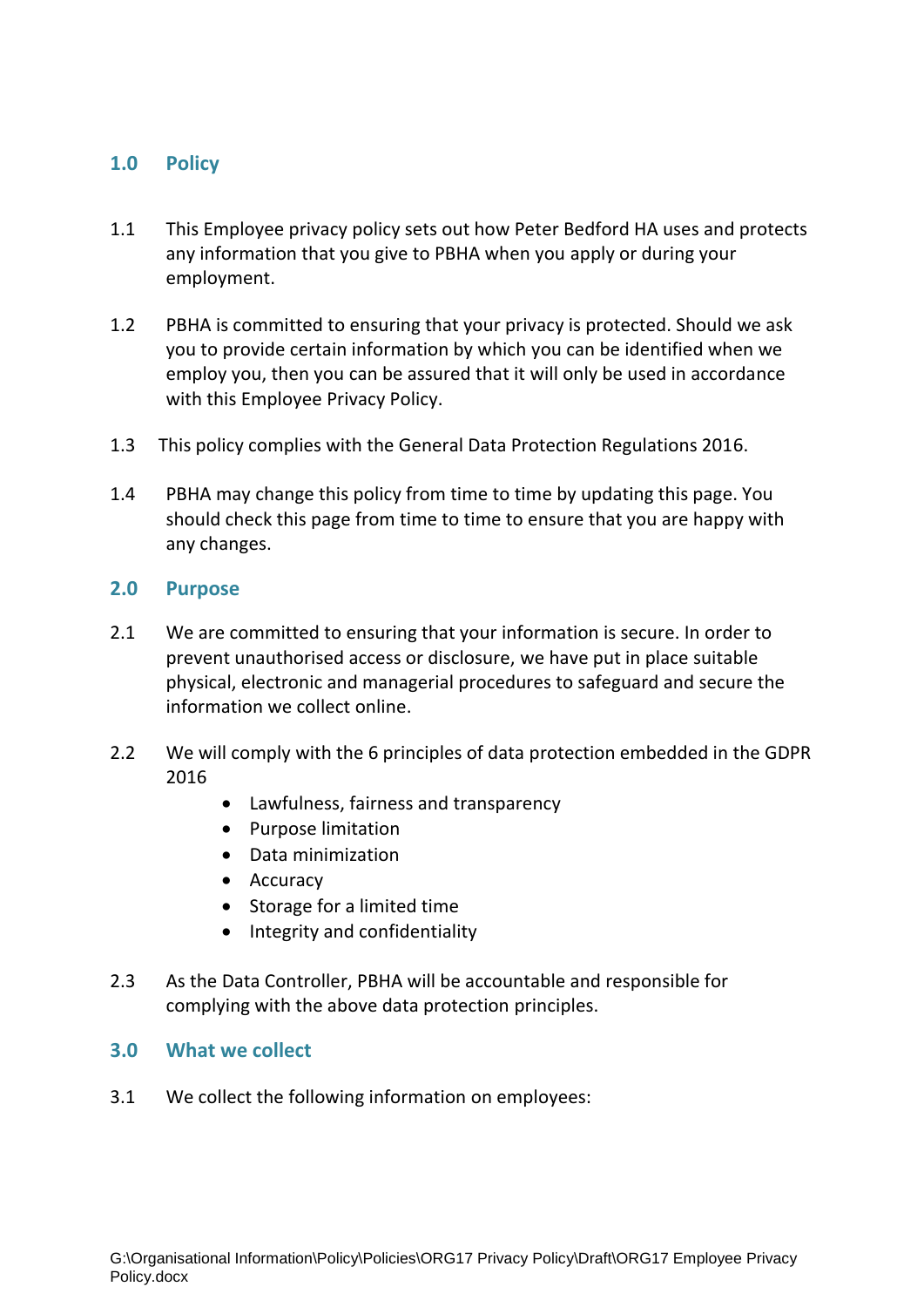### **1.0 Policy**

- 1.1 This Employee privacy policy sets out how Peter Bedford HA uses and protects any information that you give to PBHA when you apply or during your employment.
- 1.2 PBHA is committed to ensuring that your privacy is protected. Should we ask you to provide certain information by which you can be identified when we employ you, then you can be assured that it will only be used in accordance with this Employee Privacy Policy.
- 1.3 This policy complies with the General Data Protection Regulations 2016.
- 1.4 PBHA may change this policy from time to time by updating this page. You should check this page from time to time to ensure that you are happy with any changes.

#### **2.0 Purpose**

- 2.1 We are committed to ensuring that your information is secure. In order to prevent unauthorised access or disclosure, we have put in place suitable physical, electronic and managerial procedures to safeguard and secure the information we collect online.
- 2.2 We will comply with the 6 principles of data protection embedded in the GDPR 2016
	- Lawfulness, fairness and transparency
	- Purpose limitation
	- Data minimization
	- Accuracy
	- Storage for a limited time
	- Integrity and confidentiality
- 2.3 As the Data Controller, PBHA will be accountable and responsible for complying with the above data protection principles.

#### **3.0 What we collect**

3.1 We collect the following information on employees: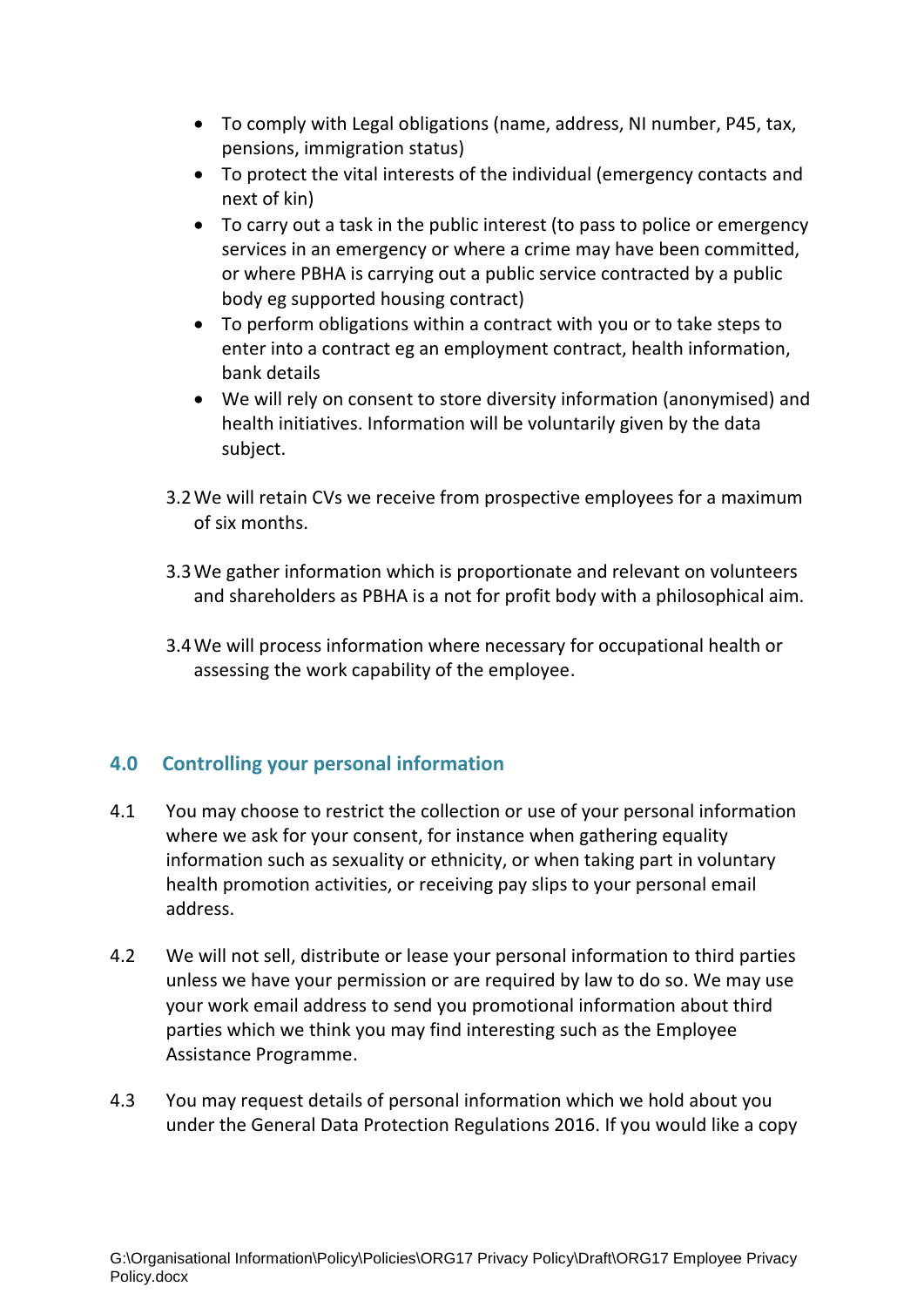- To comply with Legal obligations (name, address, NI number, P45, tax, pensions, immigration status)
- To protect the vital interests of the individual (emergency contacts and next of kin)
- To carry out a task in the public interest (to pass to police or emergency services in an emergency or where a crime may have been committed, or where PBHA is carrying out a public service contracted by a public body eg supported housing contract)
- To perform obligations within a contract with you or to take steps to enter into a contract eg an employment contract, health information, bank details
- We will rely on consent to store diversity information (anonymised) and health initiatives. Information will be voluntarily given by the data subject.
- 3.2We will retain CVs we receive from prospective employees for a maximum of six months.
- 3.3We gather information which is proportionate and relevant on volunteers and shareholders as PBHA is a not for profit body with a philosophical aim.
- 3.4We will process information where necessary for occupational health or assessing the work capability of the employee.

## **4.0 Controlling your personal information**

- 4.1 You may choose to restrict the collection or use of your personal information where we ask for your consent, for instance when gathering equality information such as sexuality or ethnicity, or when taking part in voluntary health promotion activities, or receiving pay slips to your personal email address.
- 4.2 We will not sell, distribute or lease your personal information to third parties unless we have your permission or are required by law to do so. We may use your work email address to send you promotional information about third parties which we think you may find interesting such as the Employee Assistance Programme.
- 4.3 You may request details of personal information which we hold about you under the General Data Protection Regulations 2016. If you would like a copy